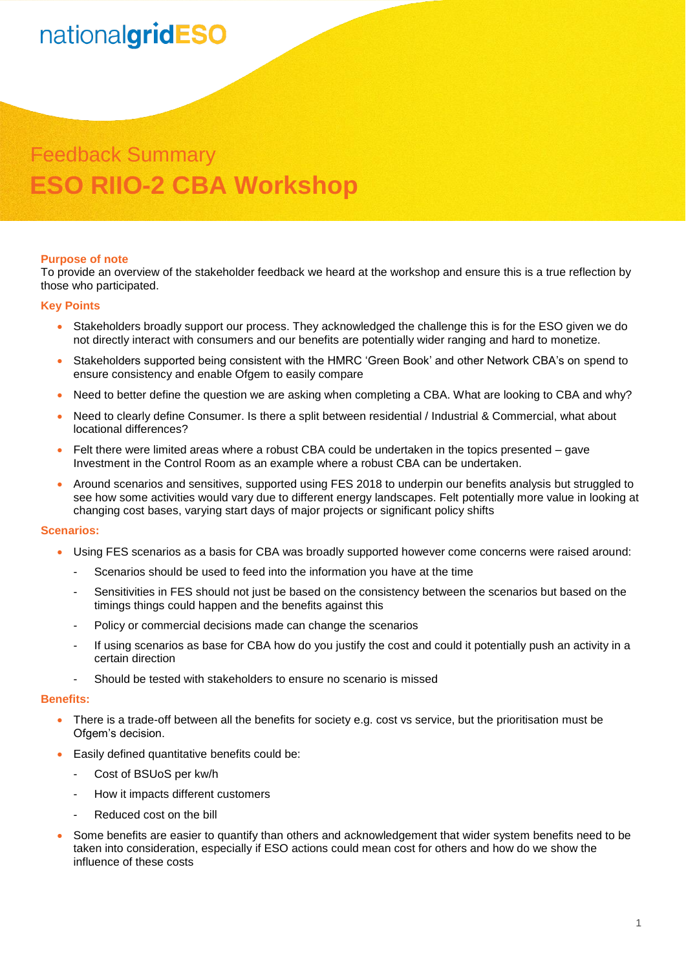# nationalgridESO

# Feedback Summary **ESO RIIO-2 CBA Workshop**

#### **Purpose of note**

To provide an overview of the stakeholder feedback we heard at the workshop and ensure this is a true reflection by those who participated.

#### **Key Points**

- Stakeholders broadly support our process. They acknowledged the challenge this is for the ESO given we do not directly interact with consumers and our benefits are potentially wider ranging and hard to monetize.
- Stakeholders supported being consistent with the HMRC 'Green Book' and other Network CBA's on spend to ensure consistency and enable Ofgem to easily compare
- Need to better define the question we are asking when completing a CBA. What are looking to CBA and why?
- Need to clearly define Consumer. Is there a split between residential / Industrial & Commercial, what about locational differences?
- Felt there were limited areas where a robust CBA could be undertaken in the topics presented gave Investment in the Control Room as an example where a robust CBA can be undertaken.
- Around scenarios and sensitives, supported using FES 2018 to underpin our benefits analysis but struggled to see how some activities would vary due to different energy landscapes. Felt potentially more value in looking at changing cost bases, varying start days of major projects or significant policy shifts

#### **Scenarios:**

- Using FES scenarios as a basis for CBA was broadly supported however come concerns were raised around:
	- Scenarios should be used to feed into the information you have at the time
	- Sensitivities in FES should not just be based on the consistency between the scenarios but based on the timings things could happen and the benefits against this
	- Policy or commercial decisions made can change the scenarios
	- If using scenarios as base for CBA how do you justify the cost and could it potentially push an activity in a certain direction
	- Should be tested with stakeholders to ensure no scenario is missed

#### **Benefits:**

- There is a trade-off between all the benefits for society e.g. cost vs service, but the prioritisation must be Ofgem's decision.
- Easily defined quantitative benefits could be:
	- Cost of BSUoS per kw/h
	- How it impacts different customers
	- Reduced cost on the bill
- Some benefits are easier to quantify than others and acknowledgement that wider system benefits need to be taken into consideration, especially if ESO actions could mean cost for others and how do we show the influence of these costs